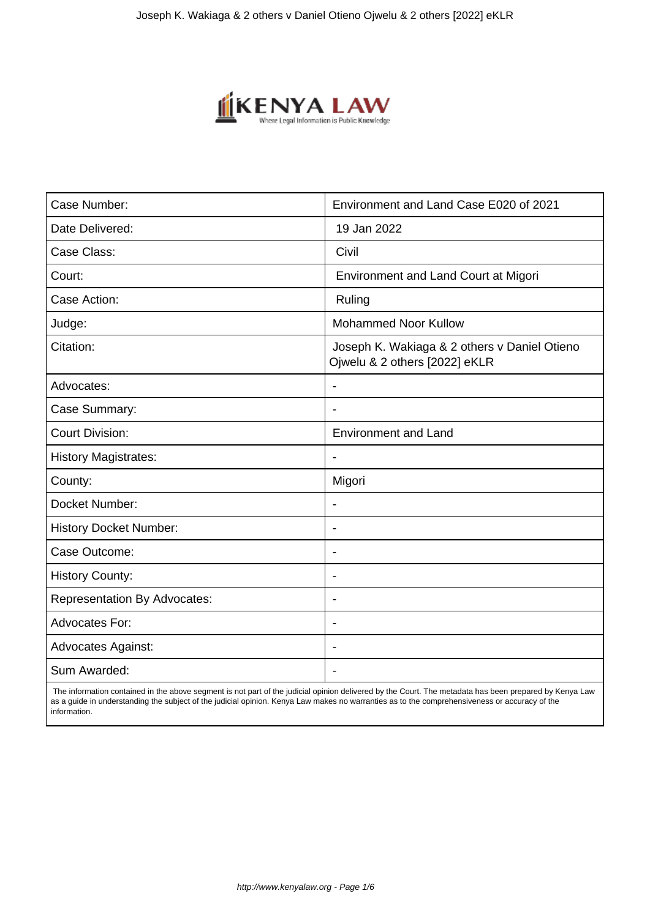

| Case Number:                        | Environment and Land Case E020 of 2021                                        |
|-------------------------------------|-------------------------------------------------------------------------------|
| Date Delivered:                     | 19 Jan 2022                                                                   |
| Case Class:                         | Civil                                                                         |
| Court:                              | <b>Environment and Land Court at Migori</b>                                   |
| Case Action:                        | Ruling                                                                        |
| Judge:                              | <b>Mohammed Noor Kullow</b>                                                   |
| Citation:                           | Joseph K. Wakiaga & 2 others v Daniel Otieno<br>Ojwelu & 2 others [2022] eKLR |
| Advocates:                          |                                                                               |
| Case Summary:                       |                                                                               |
| <b>Court Division:</b>              | <b>Environment and Land</b>                                                   |
| <b>History Magistrates:</b>         | $\overline{\phantom{a}}$                                                      |
| County:                             | Migori                                                                        |
| Docket Number:                      |                                                                               |
| <b>History Docket Number:</b>       | $\overline{\phantom{0}}$                                                      |
| Case Outcome:                       | $\overline{\phantom{0}}$                                                      |
| <b>History County:</b>              | $\overline{\phantom{a}}$                                                      |
| <b>Representation By Advocates:</b> | $\overline{\phantom{0}}$                                                      |
| Advocates For:                      | ۰                                                                             |
| <b>Advocates Against:</b>           |                                                                               |
| Sum Awarded:                        |                                                                               |

 The information contained in the above segment is not part of the judicial opinion delivered by the Court. The metadata has been prepared by Kenya Law as a guide in understanding the subject of the judicial opinion. Kenya Law makes no warranties as to the comprehensiveness or accuracy of the information.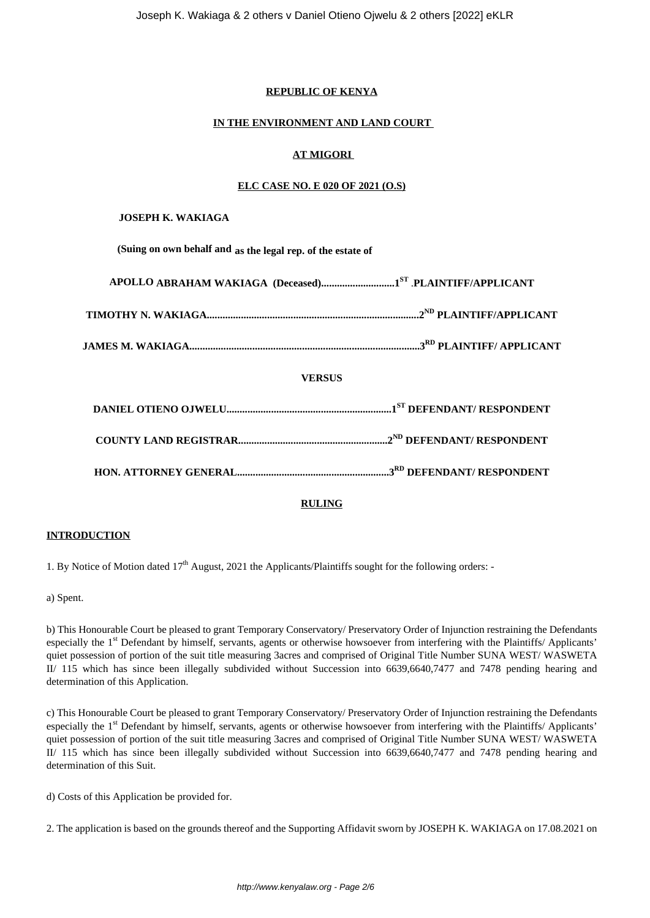## **REPUBLIC OF KENYA**

## **IN THE ENVIRONMENT AND LAND COURT**

## **AT MIGORI**

## **ELC CASE NO. E 020 OF 2021 (O.S)**

## **JOSEPH K. WAKIAGA**

**(Suing on own behalf and as the legal rep. of the estate of**

| <b>VERSUS</b> |  |
|---------------|--|
|               |  |
|               |  |
|               |  |
|               |  |

# **RULING**

# **INTRODUCTION**

1. By Notice of Motion dated  $17<sup>th</sup>$  August, 2021 the Applicants/Plaintiffs sought for the following orders: -

a) Spent.

b) This Honourable Court be pleased to grant Temporary Conservatory/ Preservatory Order of Injunction restraining the Defendants especially the 1<sup>st</sup> Defendant by himself, servants, agents or otherwise howsoever from interfering with the Plaintiffs/ Applicants' quiet possession of portion of the suit title measuring 3acres and comprised of Original Title Number SUNA WEST/ WASWETA II/ 115 which has since been illegally subdivided without Succession into 6639,6640,7477 and 7478 pending hearing and determination of this Application.

c) This Honourable Court be pleased to grant Temporary Conservatory/ Preservatory Order of Injunction restraining the Defendants especially the 1<sup>st</sup> Defendant by himself, servants, agents or otherwise howsoever from interfering with the Plaintiffs/ Applicants' quiet possession of portion of the suit title measuring 3acres and comprised of Original Title Number SUNA WEST/ WASWETA II/ 115 which has since been illegally subdivided without Succession into 6639,6640,7477 and 7478 pending hearing and determination of this Suit.

d) Costs of this Application be provided for.

2. The application is based on the grounds thereof and the Supporting Affidavit sworn by JOSEPH K. WAKIAGA on 17.08.2021 on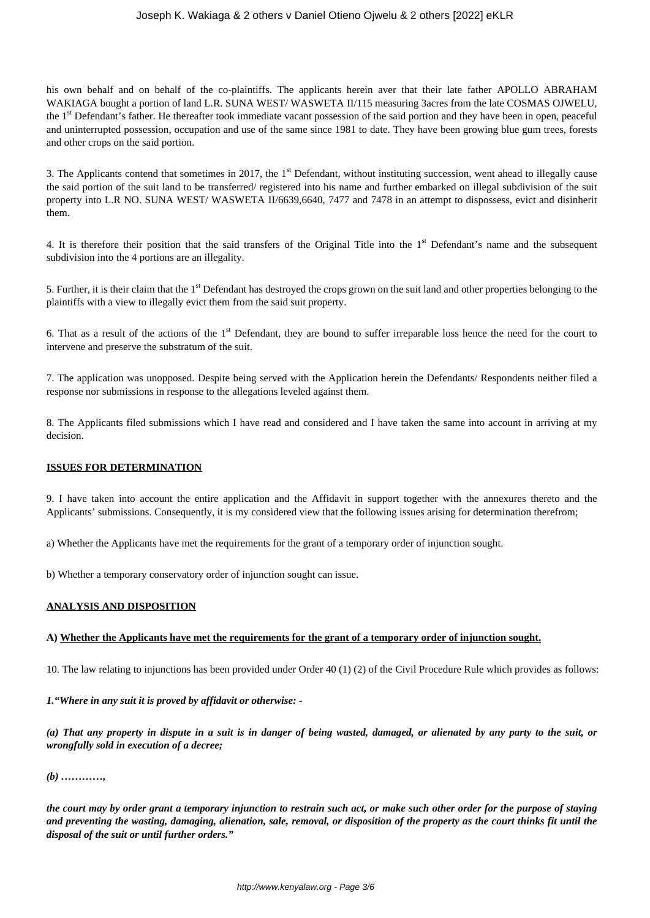his own behalf and on behalf of the co-plaintiffs. The applicants herein aver that their late father APOLLO ABRAHAM WAKIAGA bought a portion of land L.R. SUNA WEST/ WASWETA II/115 measuring 3acres from the late COSMAS OJWELU, the 1<sup>st</sup> Defendant's father. He thereafter took immediate vacant possession of the said portion and they have been in open, peaceful and uninterrupted possession, occupation and use of the same since 1981 to date. They have been growing blue gum trees, forests and other crops on the said portion.

3. The Applicants contend that sometimes in 2017, the  $1<sup>st</sup>$  Defendant, without instituting succession, went ahead to illegally cause the said portion of the suit land to be transferred/ registered into his name and further embarked on illegal subdivision of the suit property into L.R NO. SUNA WEST/ WASWETA II/6639,6640, 7477 and 7478 in an attempt to dispossess, evict and disinherit them.

4. It is therefore their position that the said transfers of the Original Title into the 1<sup>st</sup> Defendant's name and the subsequent subdivision into the 4 portions are an illegality.

5. Further, it is their claim that the 1<sup>st</sup> Defendant has destroyed the crops grown on the suit land and other properties belonging to the plaintiffs with a view to illegally evict them from the said suit property.

6. That as a result of the actions of the 1<sup>st</sup> Defendant, they are bound to suffer irreparable loss hence the need for the court to intervene and preserve the substratum of the suit.

7. The application was unopposed. Despite being served with the Application herein the Defendants/ Respondents neither filed a response nor submissions in response to the allegations leveled against them.

8. The Applicants filed submissions which I have read and considered and I have taken the same into account in arriving at my decision.

#### **ISSUES FOR DETERMINATION**

9. I have taken into account the entire application and the Affidavit in support together with the annexures thereto and the Applicants' submissions. Consequently, it is my considered view that the following issues arising for determination therefrom;

a) Whether the Applicants have met the requirements for the grant of a temporary order of injunction sought.

b) Whether a temporary conservatory order of injunction sought can issue.

#### **ANALYSIS AND DISPOSITION**

#### **A) Whether the Applicants have met the requirements for the grant of a temporary order of injunction sought.**

10. The law relating to injunctions has been provided under Order 40 (1) (2) of the Civil Procedure Rule which provides as follows:

*1."Where in any suit it is proved by affidavit or otherwise: -*

*(a) That any property in dispute in a suit is in danger of being wasted, damaged, or alienated by any party to the suit, or wrongfully sold in execution of a decree;*

#### *(b) …………,*

*the court may by order grant a temporary injunction to restrain such act, or make such other order for the purpose of staying and preventing the wasting, damaging, alienation, sale, removal, or disposition of the property as the court thinks fit until the disposal of the suit or until further orders."*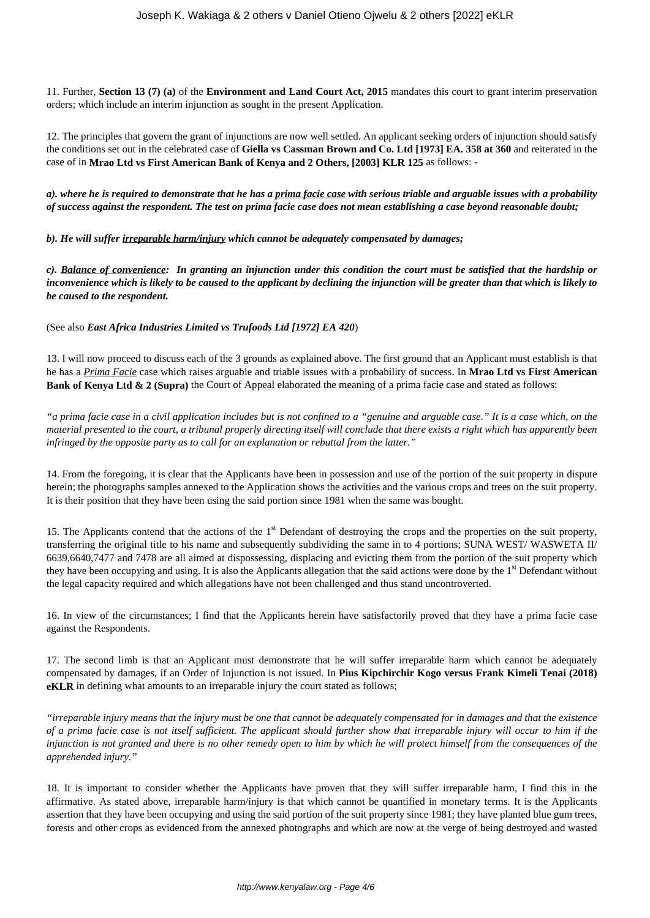11. Further, **Section 13 (7) (a)** of the **Environment and Land Court Act, 2015** mandates this court to grant interim preservation orders; which include an interim injunction as sought in the present Application.

12. The principles that govern the grant of injunctions are now well settled. An applicant seeking orders of injunction should satisfy the conditions set out in the celebrated case of **Giella vs Cassman Brown and Co. Ltd [1973] EA. 358 at 360** and reiterated in the case of in **Mrao Ltd vs First American Bank of Kenya and 2 Others, [2003] KLR 125** as follows: -

*a). where he is required to demonstrate that he has a prima facie case with serious triable and arguable issues with a probability of success against the respondent. The test on prima facie case does not mean establishing a case beyond reasonable doubt;*

*b). He will suffer irreparable harm/injury which cannot be adequately compensated by damages;*

*c). Balance of convenience: In granting an injunction under this condition the court must be satisfied that the hardship or inconvenience which is likely to be caused to the applicant by declining the injunction will be greater than that which is likely to be caused to the respondent.*

(See also *East Africa Industries Limited vs Trufoods Ltd [1972] EA 420*)

13. I will now proceed to discuss each of the 3 grounds as explained above. The first ground that an Applicant must establish is that he has a *Prima Facie* case which raises arguable and triable issues with a probability of success. In **Mrao Ltd vs First American Bank of Kenya Ltd & 2 (Supra)** the Court of Appeal elaborated the meaning of a prima facie case and stated as follows:

*"a prima facie case in a civil application includes but is not confined to a "genuine and arguable case." It is a case which, on the material presented to the court, a tribunal properly directing itself will conclude that there exists a right which has apparently been infringed by the opposite party as to call for an explanation or rebuttal from the latter."*

14. From the foregoing, it is clear that the Applicants have been in possession and use of the portion of the suit property in dispute herein; the photographs samples annexed to the Application shows the activities and the various crops and trees on the suit property. It is their position that they have been using the said portion since 1981 when the same was bought.

15. The Applicants contend that the actions of the  $1<sup>st</sup>$  Defendant of destroying the crops and the properties on the suit property, transferring the original title to his name and subsequently subdividing the same in to 4 portions; SUNA WEST/ WASWETA II/ 6639,6640,7477 and 7478 are all aimed at dispossessing, displacing and evicting them from the portion of the suit property which they have been occupying and using. It is also the Applicants allegation that the said actions were done by the 1<sup>st</sup> Defendant without the legal capacity required and which allegations have not been challenged and thus stand uncontroverted.

16. In view of the circumstances; I find that the Applicants herein have satisfactorily proved that they have a prima facie case against the Respondents.

17. The second limb is that an Applicant must demonstrate that he will suffer irreparable harm which cannot be adequately compensated by damages, if an Order of Injunction is not issued. In **Pius Kipchirchir Kogo versus Frank Kimeli Tenai (2018) eKLR** in defining what amounts to an irreparable injury the court stated as follows;

*"irreparable injury means that the injury must be one that cannot be adequately compensated for in damages and that the existence of a prima facie case is not itself sufficient. The applicant should further show that irreparable injury will occur to him if the injunction is not granted and there is no other remedy open to him by which he will protect himself from the consequences of the apprehended injury."*

18. It is important to consider whether the Applicants have proven that they will suffer irreparable harm, I find this in the affirmative. As stated above, irreparable harm/injury is that which cannot be quantified in monetary terms. It is the Applicants assertion that they have been occupying and using the said portion of the suit property since 1981; they have planted blue gum trees, forests and other crops as evidenced from the annexed photographs and which are now at the verge of being destroyed and wasted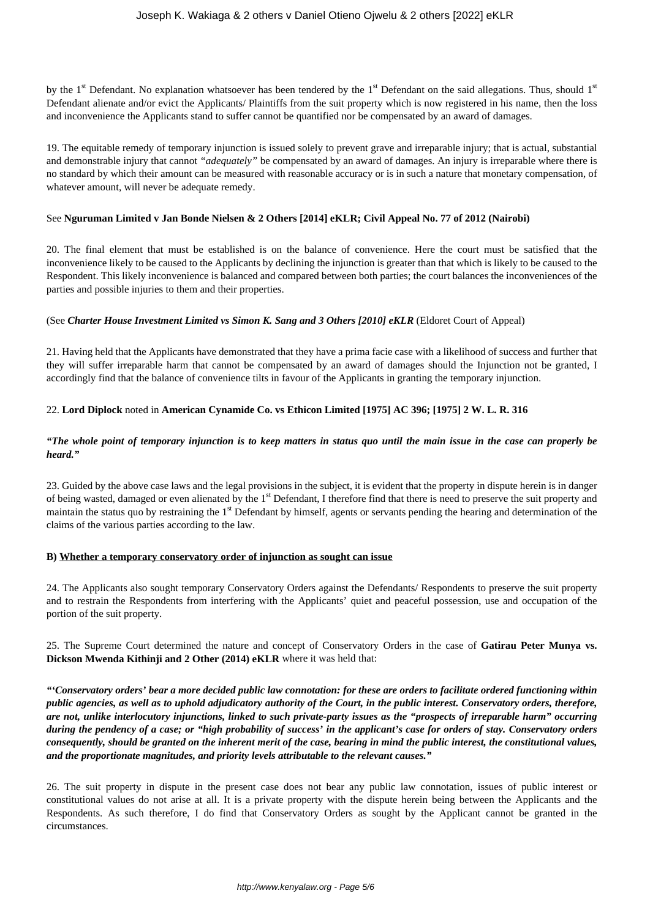by the 1<sup>st</sup> Defendant. No explanation whatsoever has been tendered by the 1<sup>st</sup> Defendant on the said allegations. Thus, should 1<sup>st</sup> Defendant alienate and/or evict the Applicants/ Plaintiffs from the suit property which is now registered in his name, then the loss and inconvenience the Applicants stand to suffer cannot be quantified nor be compensated by an award of damages.

19. The equitable remedy of temporary injunction is issued solely to prevent grave and irreparable injury; that is actual, substantial and demonstrable injury that cannot *"adequately"* be compensated by an award of damages. An injury is irreparable where there is no standard by which their amount can be measured with reasonable accuracy or is in such a nature that monetary compensation, of whatever amount, will never be adequate remedy.

## See **Nguruman Limited v Jan Bonde Nielsen & 2 Others [2014] eKLR; Civil Appeal No. 77 of 2012 (Nairobi)**

20. The final element that must be established is on the balance of convenience. Here the court must be satisfied that the inconvenience likely to be caused to the Applicants by declining the injunction is greater than that which is likely to be caused to the Respondent. This likely inconvenience is balanced and compared between both parties; the court balances the inconveniences of the parties and possible injuries to them and their properties.

## (See *Charter House Investment Limited vs Simon K. Sang and 3 Others [2010] eKLR* (Eldoret Court of Appeal)

21. Having held that the Applicants have demonstrated that they have a prima facie case with a likelihood of success and further that they will suffer irreparable harm that cannot be compensated by an award of damages should the Injunction not be granted, I accordingly find that the balance of convenience tilts in favour of the Applicants in granting the temporary injunction.

## 22. **Lord Diplock** noted in **American Cynamide Co. vs Ethicon Limited [1975] AC 396; [1975] 2 W. L. R. 316**

## *"The whole point of temporary injunction is to keep matters in status quo until the main issue in the case can properly be heard."*

23. Guided by the above case laws and the legal provisions in the subject, it is evident that the property in dispute herein is in danger of being wasted, damaged or even alienated by the 1<sup>st</sup> Defendant. I therefore find that there is need to preserve the suit property and maintain the status quo by restraining the 1<sup>st</sup> Defendant by himself, agents or servants pending the hearing and determination of the claims of the various parties according to the law.

#### **B) Whether a temporary conservatory order of injunction as sought can issue**

24. The Applicants also sought temporary Conservatory Orders against the Defendants/ Respondents to preserve the suit property and to restrain the Respondents from interfering with the Applicants' quiet and peaceful possession, use and occupation of the portion of the suit property.

## 25. The Supreme Court determined the nature and concept of Conservatory Orders in the case of **Gatirau Peter Munya vs. Dickson Mwenda Kithinji and 2 Other (2014) eKLR** where it was held that:

*"'Conservatory orders' bear a more decided public law connotation: for these are orders to facilitate ordered functioning within public agencies, as well as to uphold adjudicatory authority of the Court, in the public interest. Conservatory orders, therefore, are not, unlike interlocutory injunctions, linked to such private-party issues as the "prospects of irreparable harm" occurring during the pendency of a case; or "high probability of success' in the applicant's case for orders of stay. Conservatory orders consequently, should be granted on the inherent merit of the case, bearing in mind the public interest, the constitutional values, and the proportionate magnitudes, and priority levels attributable to the relevant causes."* 

26. The suit property in dispute in the present case does not bear any public law connotation, issues of public interest or constitutional values do not arise at all. It is a private property with the dispute herein being between the Applicants and the Respondents. As such therefore, I do find that Conservatory Orders as sought by the Applicant cannot be granted in the circumstances.